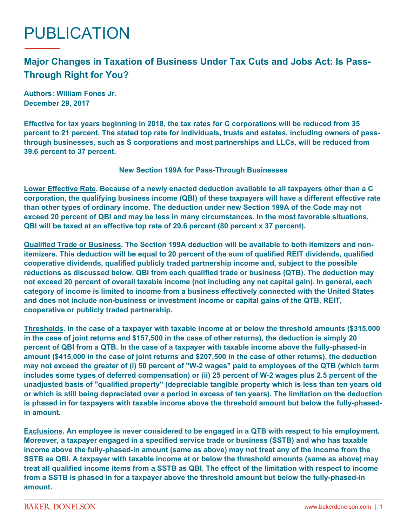# PUBLICATION

## **Major Changes in Taxation of Business Under Tax Cuts and Jobs Act: Is Pass-Through Right for You?**

**Authors: William Fones Jr. December 29, 2017**

**Effective for tax years beginning in 2018, the tax rates for C corporations will be reduced from 35 percent to 21 percent. The stated top rate for individuals, trusts and estates, including owners of passthrough businesses, such as S corporations and most partnerships and LLCs, will be reduced from 39.6 percent to 37 percent.**

#### **New Section 199A for Pass-Through Businesses**

**Lower Effective Rate. Because of a newly enacted deduction available to all taxpayers other than a C corporation, the qualifying business income (QBI) of these taxpayers will have a different effective rate than other types of ordinary income. The deduction under new Section 199A of the Code may not exceed 20 percent of QBI and may be less in many circumstances. In the most favorable situations, QBI will be taxed at an effective top rate of 29.6 percent (80 percent x 37 percent).**

**Qualified Trade or Business. The Section 199A deduction will be available to both itemizers and nonitemizers. This deduction will be equal to 20 percent of the sum of qualified REIT dividends, qualified cooperative dividends, qualified publicly traded partnership income and, subject to the possible reductions as discussed below, QBI from each qualified trade or business (QTB). The deduction may not exceed 20 percent of overall taxable income (not including any net capital gain). In general, each category of income is limited to income from a business effectively connected with the United States and does not include non-business or investment income or capital gains of the QTB, REIT, cooperative or publicly traded partnership.**

**Thresholds. In the case of a taxpayer with taxable income at or below the threshold amounts (\$315,000 in the case of joint returns and \$157,500 in the case of other returns), the deduction is simply 20 percent of QBI from a QTB. In the case of a taxpayer with taxable income above the fully-phased-in amount (\$415,000 in the case of joint returns and \$207,500 in the case of other returns), the deduction may not exceed the greater of (i) 50 percent of "W-2 wages" paid to employees of the QTB (which term includes some types of deferred compensation) or (ii) 25 percent of W-2 wages plus 2.5 percent of the unadjusted basis of "qualified property" (depreciable tangible property which is less than ten years old or which is still being depreciated over a period in excess of ten years). The limitation on the deduction is phased in for taxpayers with taxable income above the threshold amount but below the fully-phasedin amount.**

**Exclusions. An employee is never considered to be engaged in a QTB with respect to his employment. Moreover, a taxpayer engaged in a specified service trade or business (SSTB) and who has taxable income above the fully-phased-in amount (same as above) may not treat any of the income from the SSTB as QBI. A taxpayer with taxable income at or below the threshold amounts (same as above) may treat all qualified income items from a SSTB as QBI. The effect of the limitation with respect to income from a SSTB is phased in for a taxpayer above the threshold amount but below the fully-phased-in amount.**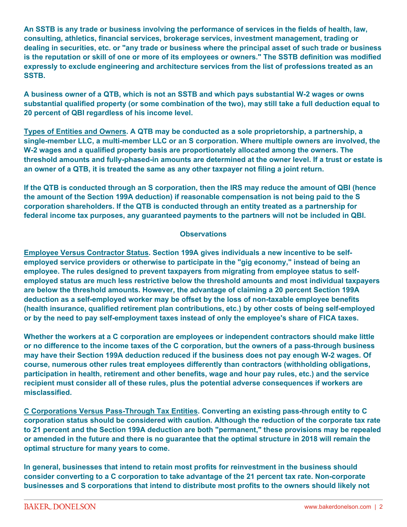**An SSTB is any trade or business involving the performance of services in the fields of health, law, consulting, athletics, financial services, brokerage services, investment management, trading or dealing in securities, etc. or "any trade or business where the principal asset of such trade or business is the reputation or skill of one or more of its employees or owners." The SSTB definition was modified expressly to exclude engineering and architecture services from the list of professions treated as an SSTB.**

**A business owner of a QTB, which is not an SSTB and which pays substantial W-2 wages or owns substantial qualified property (or some combination of the two), may still take a full deduction equal to 20 percent of QBI regardless of his income level.**

**Types of Entities and Owners. A QTB may be conducted as a sole proprietorship, a partnership, a single-member LLC, a multi-member LLC or an S corporation. Where multiple owners are involved, the W-2 wages and a qualified property basis are proportionately allocated among the owners. The threshold amounts and fully-phased-in amounts are determined at the owner level. If a trust or estate is an owner of a QTB, it is treated the same as any other taxpayer not filing a joint return.**

**If the QTB is conducted through an S corporation, then the IRS may reduce the amount of QBI (hence the amount of the Section 199A deduction) if reasonable compensation is not being paid to the S corporation shareholders. If the QTB is conducted through an entity treated as a partnership for federal income tax purposes, any guaranteed payments to the partners will not be included in QBI.**

#### **Observations**

**Employee Versus Contractor Status. Section 199A gives individuals a new incentive to be selfemployed service providers or otherwise to participate in the "gig economy," instead of being an employee. The rules designed to prevent taxpayers from migrating from employee status to selfemployed status are much less restrictive below the threshold amounts and most individual taxpayers are below the threshold amounts. However, the advantage of claiming a 20 percent Section 199A deduction as a self-employed worker may be offset by the loss of non-taxable employee benefits (health insurance, qualified retirement plan contributions, etc.) by other costs of being self-employed or by the need to pay self-employment taxes instead of only the employee's share of FICA taxes.**

**Whether the workers at a C corporation are employees or independent contractors should make little or no difference to the income taxes of the C corporation, but the owners of a pass-through business may have their Section 199A deduction reduced if the business does not pay enough W-2 wages. Of course, numerous other rules treat employees differently than contractors (withholding obligations, participation in health, retirement and other benefits, wage and hour pay rules, etc.) and the service recipient must consider all of these rules, plus the potential adverse consequences if workers are misclassified.**

**C Corporations Versus Pass-Through Tax Entities. Converting an existing pass-through entity to C corporation status should be considered with caution. Although the reduction of the corporate tax rate to 21 percent and the Section 199A deduction are both "permanent," these provisions may be repealed or amended in the future and there is no guarantee that the optimal structure in 2018 will remain the optimal structure for many years to come.**

**In general, businesses that intend to retain most profits for reinvestment in the business should consider converting to a C corporation to take advantage of the 21 percent tax rate. Non-corporate businesses and S corporations that intend to distribute most profits to the owners should likely not**